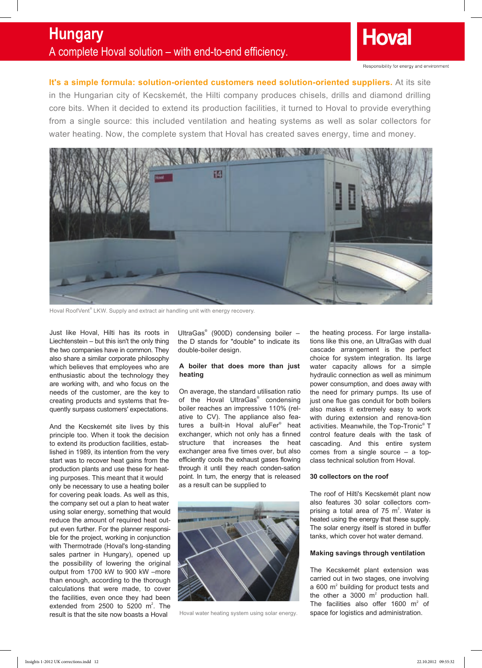

**It's a simple formula: solution-oriented customers need solution-oriented suppliers.** At its site in the Hungarian city of Kecskemét, the Hilti company produces chisels, drills and diamond drilling core bits. When it decided to extend its production facilities, it turned to Hoval to provide everything from a single source: this included ventilation and heating systems as well as solar collectors for water heating. Now, the complete system that Hoval has created saves energy, time and money.



Hoval RoofVent® LKW. Supply and extract air handling unit with energy recovery.

Just like Hoval, Hilti has its roots in Liechtenstein – but this isn't the only thing the two companies have in common. They also share a similar corporate philosophy which believes that employees who are enthusiastic about the technology they are working with, and who focus on the needs of the customer, are the key to creating products and systems that frequently surpass customers' expectations.

And the Kecskemét site lives by this principle too. When it took the decision to extend its production facilities, established in 1989, its intention from the very start was to recover heat gains from the production plants and use these for heating purposes. This meant that it would

only be necessary to use a heating boiler for covering peak loads. As well as this, the company set out a plan to heat water using solar energy, something that would reduce the amount of required heat output even further. For the planner responsible for the project, working in conjunction with Thermotrade (Hoval's long-standing sales partner in Hungary), opened up the possibility of lowering the original output from 1700 kW to 900 kW –more than enough, according to the thorough calculations that were made, to cover the facilities, even once they had been extended from 2500 to 5200  $m^2$ . The result is that the site now boasts a Hoval

UltraGas® (900D) condensing boiler – the D stands for "double" to indicate its double-boiler design.

## **A boiler that does more than just heating**

On average, the standard utilisation ratio of the Hoval UltraGas<sup>®</sup> condensing boiler reaches an impressive 110% (relative to CV). The appliance also features a built-in Hoval aluFer® heat exchanger, which not only has a finned structure that increases the heat exchanger area five times over, but also efficiently cools the exhaust gases flowing through it until they reach conden-sation point. In turn, the energy that is released as a result can be supplied to



Hoval water heating system using solar energy.

the heating process. For large installations like this one, an UltraGas with dual cascade arrangement is the perfect choice for system integration. Its large water capacity allows for a simple hydraulic connection as well as minimum power consumption, and does away with the need for primary pumps. Its use of just one flue gas conduit for both boilers also makes it extremely easy to work with during extension and renova-tion activities. Meanwhile, the Top-Tronic® T control feature deals with the task of cascading. And this entire system comes from a single source – a topclass technical solution from Hoval.

## **30 collectors on the roof**

The roof of Hilti's Kecskemét plant now also features 30 solar collectors comprising a total area of  $75 \text{ m}^2$ . Water is heated using the energy that these supply. The solar energy itself is stored in buffer tanks, which cover hot water demand.

## **Making savings through ventilation**

The Kecskemét plant extension was carried out in two stages, one involving a 600  $m<sup>2</sup>$  building for product tests and the other a 3000  $m^2$  production hall. The facilities also offer 1600  $m^2$  of space for logistics and administration.